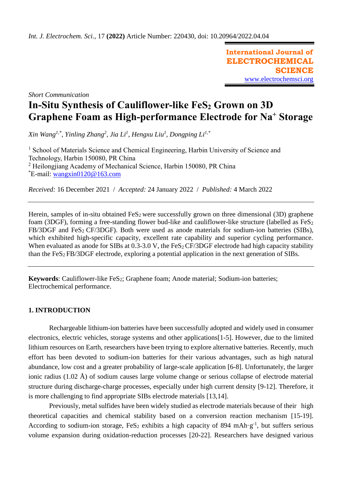**International Journal of ELECTROCHEMICAL SCIENCE** [www.electrochemsci.org](http://www.electrochemsci.org/)

*Short Communication*

# **In-Situ Synthesis of Cauliflower-like FeS<sup>2</sup> Grown on 3D Graphene Foam as High-performance Electrode for Na<sup>+</sup> Storage**

*Xin Wang1,\* , Yinling Zhang<sup>2</sup> , Jia Li<sup>1</sup> , Hengxu Liu<sup>1</sup> , Dongping Li1,\**

<sup>1</sup> School of Materials Science and Chemical Engineering, Harbin University of Science and Technology, Harbin 150080, PR China <sup>2</sup> Heilongjiang Academy of Mechanical Science, Harbin 150080, PR China \*E-mail: [wangxin0120@163.com](mailto:wangxin0120@163.com)

*Received:* 16 December 2021/ *Accepted:* 24 January 2022 / *Published:* 4 March 2022

Herein, samples of in-situ obtained  $FeS<sub>2</sub>$  were successfully grown on three dimensional (3D) graphene foam (3DGF), forming a free-standing flower bud-like and cauliflower-like structure (labelled as  $FeS<sub>2</sub>$ )  $FB/3DGF$  and  $FeS<sub>2</sub> CF/3DGF$ ). Both were used as anode materials for sodium-ion batteries (SIBs), which exhibited high-specific capacity, excellent rate capability and superior cycling performance. When evaluated as anode for SIBs at  $0.3$ -3.0 V, the FeS<sub>2</sub> CF/3DGF electrode had high capacity stability than the FeS2 FB/3DGF electrode, exploring a potential application in the next generation of SIBs.

**Keywords**: Cauliflower-like FeS<sub>2</sub>; Graphene foam; Anode material; Sodium-ion batteries; Electrochemical performance.

# **1. INTRODUCTION**

Rechargeable lithium-ion batteries have been successfully adopted and widely used in consumer electronics, electric vehicles, storage systems and other applications[1-5]. However, due to the limited lithium resources on Earth, [researchers](javascript:;) have been trying to explore alternative batteries. Recently, much effort has been devoted to sodium-ion batteries for their various advantages, such as high natural abundance, low cost and a greater probability of large-scale application [6-8]. Unfortunately, the larger ionic radius (1.02 Å) of sodium causes large volume change or serious collapse of electrode material structure during discharge-charge processes, especially under high current density [9-12]. Therefore, it is more challenging to find appropriate SIBs electrode materials [13,14].

Previously, metal sulfides have been widely studied as electrode materials because of their high theoretical capacities and chemical stability based on a conversion reaction mechanism [15-19]. According to sodium-ion storage,  $FeS_2$  exhibits a high capacity of 894 mAh·g<sup>-1</sup>, but suffers serious volume expansion during oxidation-reduction processes [20-22]. Researchers have designed various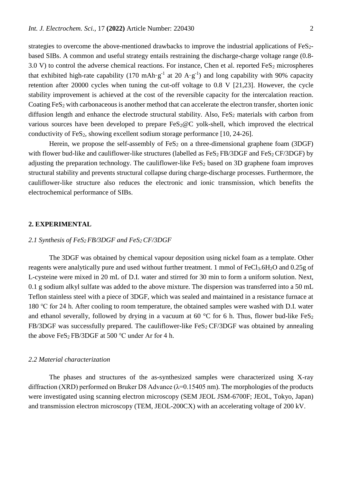strategies to overcome the above-mentioned drawbacks to improve the industrial applications of FeS<sub>2</sub>based SIBs. A common and useful strategy entails [restrai](javascript:;)ning the discharge-charge voltage range (0.8- 3.0 V) to control the adverse chemical reactions. For instance, Chen et al. reported  $FeS<sub>2</sub>$  microspheres that exhibited high-rate capability (170 mAh·g<sup>-1</sup> at 20 A·g<sup>-1</sup>) and long capability with 90% capacity retention after 20000 cycles when tuning the cut-off voltage to 0.8 V [21,23]. However, the cycle stability improvement is achieved at the cost of the reversible capacity for the intercalation reaction. Coating FeS<sub>2</sub> with carbonaceous is another method that ca[n accelerate](javascript:;) the electron transfer, shorten ionic diffusion length and enhance the electrode structural stability. Also, FeS<sub>2</sub> materials with carbon from various sources have been developed to prepare  $FeS<sub>2</sub>@C$  yolk-shell, which improved the electrical conductivity of FeS2, showing excellent sodium storage performance [10, 24-26].

Herein, we propose the self-assembly of  $FeS<sub>2</sub>$  on a [three-dimensional](javascript:;) graphene foam (3DGF) with flower bud-like and cauliflower-like structures (labelled as  $FeS<sub>2</sub>FB/3DGF$  and  $FeS<sub>2</sub>CF/3DGF$ ) by adjusting the [preparation](javascript:;) [technology.](javascript:;) The cauliflower-like  $FeS<sub>2</sub>$  based on 3D graphene foam improves structural stability and prevents structural collapse during charge-discharge processes. Furthermore, the cauliflower-like structure also reduces the electronic and ionic transmission, which benefits the electrochemical performance of SIBs.

## **2. EXPERIMENTAL**

#### *2.1 Synthesis of FeS2 FB/3DGF and FeS2 CF/3DGF*

The 3DGF was obtained by chemical vapour deposition using nickel foam as a template. Other reagents were analytically pure and used without further treatment. 1 mmol of FeCl<sub>3</sub>.6H<sub>2</sub>O and 0.25g of L-cysteine were mixed in 20 mL of D.I. water and stirred for 30 min to form a uniform solution. Next, 0.1 g sodium alkyl sulfate was added to the above mixture. The dispersion was transferred into a 50 mL Teflon stainless steel with a piece of 3DGF, which was sealed and maintained in a resistance furnace at 180 ℃ for 24 h. After cooling to room temperature, the obtained samples were washed with D.I. water and ethanol severally, followed by drying in a vacuum at 60  $\degree$ C for 6 h. Thus, flower bud-like FeS<sub>2</sub> FB/3DGF was successfully prepared. The cauliflower-like  $FeS<sub>2</sub> CF/3DGF$  was obtained by annealing the above  $FeS_2$  FB/3DGF at 500 °C under Ar for 4 h.

#### *2.2 Material characterization*

The phases and structures of the as-synthesized samples were characterized using X-ray diffraction (XRD) performed on Bruker D8 Advance ( $\lambda$ =0.15405 nm). The morphologies of the products were investigated using scanning electron microscopy (SEM JEOL JSM-6700F; JEOL, Tokyo, Japan) and transmission electron microscopy (TEM, JEOL-200CX) with an accelerating voltage of 200 kV.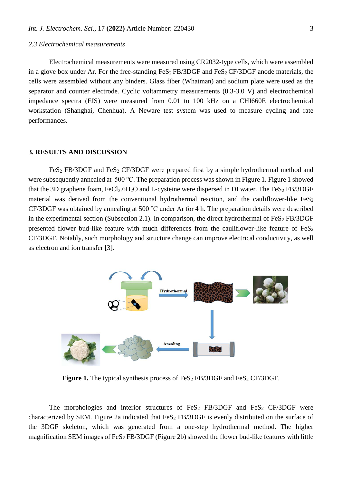#### *2.3 Electrochemical measurements*

Electrochemical measurements were measured using CR2032-type cells, which were assembled in a glove box under Ar. For the free-standing  $FeS_2 FB/3DGF$  and  $FeS_2 CF/3DGF$  anode materials, the cells were assembled without any binders. Glass fiber (Whatman) and sodium plate were used as the separator and counter electrode. Cyclic voltammetry measurements (0.3-3.0 V) and electrochemical impedance spectra (EIS) were measured from 0.01 to 100 kHz on a CHI660E electrochemical workstation (Shanghai, Chenhua). A Neware test system was used to measure cycling and rate performances.

#### **3. RESULTS AND DISCUSSION**

FeS<sub>2</sub> FB/3DGF and FeS<sub>2</sub> CF/3DGF were prepared first by a simple hydrothermal method and were subsequently annealed at 500 ℃. The preparation process was shown in Figure 1. Figure 1 showed that the 3D graphene foam,  $FeCl<sub>3</sub>·6H<sub>2</sub>O$  and L-cysteine were dispersed in DI water. The  $FeS<sub>2</sub>FB/3DGF$ material was derived from the conventional hydrothermal reaction, and the cauliflower-like  $FeS<sub>2</sub>$ CF/3DGF was obtained by annealing at 500 ℃ under Ar for 4 h. The preparation details were [described](javascript:;) in the experimental section (Subsection 2.1). In comparison, the direct hydrothermal of  $FeS<sub>2</sub> FB/3DGF$ presented flower bud-like feature with much differences from the cauliflower-like feature of  $FeS<sub>2</sub>$ CF/3DGF. Notably, such [morphology](javascript:;) and structure change can improve electrical conductivity, as well as electron and ion transfer [3].



**Figure 1.** The typical synthesis process of  $FeS<sub>2</sub> FB/3DGF$  and  $FeS<sub>2</sub> CF/3DGF$ .

The morphologies and interior structures of  $FeS<sub>2</sub> FB/3DGF$  and  $FeS<sub>2</sub> CF/3DGF$  were characterized by SEM. Figure 2a indicated that  $FeS<sub>2</sub> FB/3DGF$  is evenly distributed on the surface of the 3DGF skeleton, which was generated from a one-step hydrothermal method. The higher magnification SEM images of  $FeS<sub>2</sub> FB/3DGF$  (Figure 2b) showed the flower bud-like features with little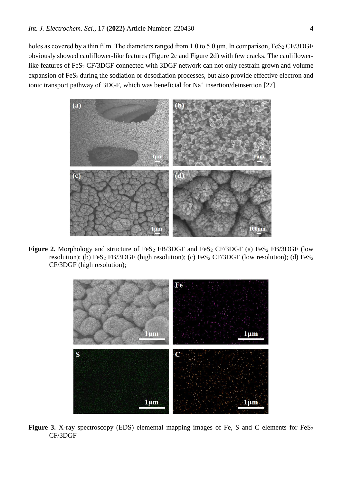holes as covered by a thin film. The diameters ranged from 1.0 to 5.0  $\mu$ m. In comparison, FeS<sub>2</sub> CF/3DGF obviously showed cauliflower-like features (Figure 2c and Figure 2d) with few cracks. The cauliflowerlike features of FeS<sub>2</sub> CF/3DGF connected with 3DGF network can not only restrain grown and volume expansion of FeS<sub>2</sub> during the sodiation or desodiation processes, but also provide effective electron and ionic transport pathway of 3DGF, which was beneficial for Na<sup>+</sup> insertion/deinsertion [27].



**Figure 2.** Morphology and structure of FeS<sub>2</sub> FB/3DGF and FeS<sub>2</sub> CF/3DGF (a) FeS<sub>2</sub> FB/3DGF (low resolution); (b) FeS<sub>2</sub> FB/3DGF (high resolution); (c) FeS<sub>2</sub> CF/3DGF (low resolution); (d) FeS<sub>2</sub> CF/3DGF (high resolution);



Figure 3. X-ray spectroscopy (EDS) elemental mapping images of Fe, S and C elements for FeS<sub>2</sub> CF/3DGF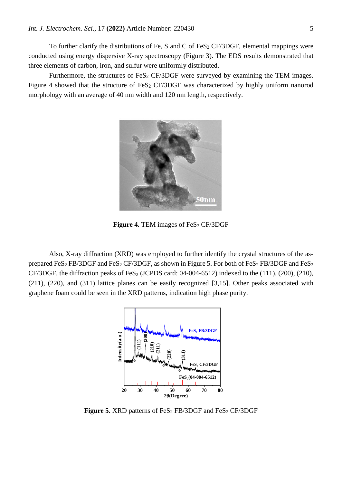To further clarify the distributions of Fe, S and C of FeS<sub>2</sub> CF/3DGF, elemental mappings were conducted using energy dispersive X-ray spectroscopy (Figure 3). The EDS results demonstrated that three elements of carbon, iron, and sulfur were uniformly distributed.

Furthermore, the structures of  $FeS<sub>2</sub> CF/3DGF$  were surveyed by examining the TEM images. Figure 4 showed that the structure of FeS<sub>2</sub> CF/3DGF was characterized by highly uniform nanorod morphology with an average of 40 nm width and 120 nm length, respectively.



**Figure 4.** TEM images of FeS<sub>2</sub> CF/3DGF

Also, X-ray diffraction (XRD) was employed to further identify the crystal structures of the asprepared FeS<sub>2</sub> FB/3DGF and FeS<sub>2</sub> CF/3DGF, as shown in Figure 5. For both of FeS<sub>2</sub> FB/3DGF and FeS<sub>2</sub> CF/3DGF, the diffraction peaks of FeS<sub>2</sub> (JCPDS card:  $04-004-6512$ ) indexed to the  $(111)$ ,  $(200)$ ,  $(210)$ , (211), (220), and (311) lattice planes can be easily recognized [3,15]. Other peaks associated with graphene foam could be seen in the XRD patterns, indication high phase purity.



**Figure 5.** XRD patterns of FeS<sub>2</sub> FB/3DGF and FeS<sub>2</sub> CF/3DGF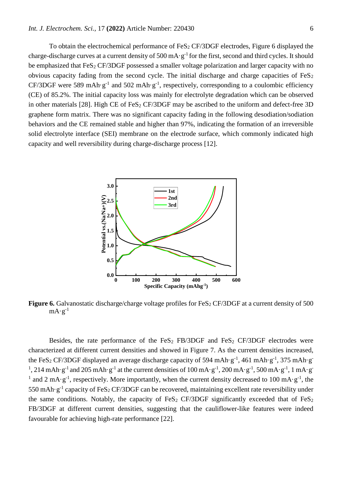To obtain the electrochemical performance of  $FeS<sub>2</sub> CF/3DGF$  electrodes, Figure 6 displayed the charge-discharge curves at a current density of 500 mA $\cdot$ g<sup>-1</sup> for the first, second and third cycles. It should be emphasized that  $FeS<sub>2</sub> CF/3DGF$  possessed a smaller voltage polarization and larger capacity with no obvious capacity fading from the second cycle. The initial discharge and charge capacities of  $FeS<sub>2</sub>$ CF/3DGF were 589 mAh·g<sup>-1</sup> and 502 mAh·g<sup>-1</sup>, respectively, corresponding to a coulombic efficiency (CE) of 85.2%. The initial capacity loss was mainly for electrolyte degradation which can be observed in other materials [28]. High CE of FeS<sub>2</sub> CF/3DGF may be ascribed to the uniform and defect-free 3D graphene form matrix. There was no significant capacity fading in the following desodiation/sodiation behaviors and the CE remained stable and higher than 97%, indicating the formation of an irreversible solid electrolyte interface (SEI) membrane on the electrode surface, which commonly indicated high capacity and well reversibility during charge-discharge process [12].



**Figure 6.** Galvanostatic discharge/charge voltage profiles for FeS<sub>2</sub> CF/3DGF at a current density of 500  $mA·g<sup>-1</sup>$ 

Besides, the rate performance of the FeS<sub>2</sub> FB/3DGF and FeS<sub>2</sub> CF/3DGF electrodes were characterized at different current densities and showed in Figure 7. As the current densities increased, the FeS<sub>2</sub> CF/3DGF displayed an average discharge capacity of 594 mAh·g<sup>-1</sup>, 461 mAh·g<sup>-1</sup>, 375 mAh·g<sup>-</sup> <sup>1</sup>, 214 mAh·g<sup>-1</sup> and 205 mAh·g<sup>-1</sup> at the current densities of 100 mA·g<sup>-1</sup>, 200 mA·g<sup>-1</sup>, 500 mA·g<sup>-1</sup>, 1 mA·g<sup>-1</sup> <sup>1</sup> and 2 mA·g<sup>-1</sup>, respectively. More importantly, when the current density decreased to 100 mA·g<sup>-1</sup>, the 550 mAh·g<sup>-1</sup> capacity of FeS<sub>2</sub> CF/3DGF can be recovered, maintaining excellent rate reversibility under the same conditions. Notably, the capacity of FeS<sub>2</sub> CF/3DGF significantly exceeded that of FeS<sub>2</sub> FB/3DGF at different current densities, suggesting that the cauliflower-like features were indeed favourable for achieving high-rate performance [22].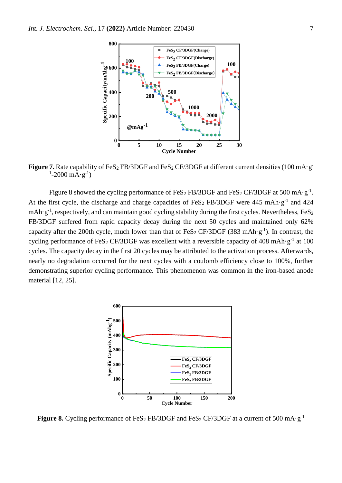

**Figure 7.** Rate capability of FeS<sub>2</sub> FB/3DGF and FeS<sub>2</sub> CF/3DGF at different current densities (100 mA·g<sup>-</sup>  $1-2000 \text{ mA} \cdot \text{g}^{-1}$ 

Figure 8 showed the cycling performance of FeS<sub>2</sub> FB/3DGF and FeS<sub>2</sub> CF/3DGF at 500 mA·g<sup>-1</sup>. At the first cycle, the discharge and charge capacities of FeS<sub>2</sub> FB/3DGF were 445 mAh·g<sup>-1</sup> and 424 mAh·g<sup>-1</sup>, respectively, and can maintain good cycling stability during the first cycles. Nevertheless, FeS<sub>2</sub> FB/3DGF suffered from rapid capacity decay during the next 50 cycles and maintained only 62% capacity after the 200th cycle, much lower than that of FeS<sub>2</sub> CF/3DGF (383 mAh·g<sup>-1</sup>). In contrast, the cycling performance of FeS<sub>2</sub> CF/3DGF was excellent with a reversible capacity of 408 mAh·g<sup>-1</sup> at 100 cycles. The capacity decay in the first 20 cycles may be attributed to the activation process. Afterwards, nearly no degradation occurred for the next cycles with a coulomb efficiency close to 100%, further demonstrating superior cycling performance. This phenomenon was common in the iron-based anode material [12, 25].



**Figure 8.** Cycling performance of FeS<sub>2</sub> FB/3DGF and FeS<sub>2</sub> CF/3DGF at a current of 500 mA·g<sup>-1</sup>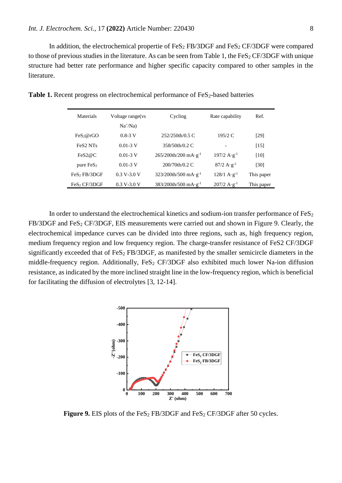In addition, the electrochemical propertie of  $FeS<sub>2</sub> FB/3DGF$  and  $FeS<sub>2</sub> CF/3DGF$  were compared to those of previous studies in the literature. As can be seen from Table 1, the  $FeS<sub>2</sub> CF/3DGF$  with unique structure had better rate performance and higher specific capacity compared to other samples in the literature.

| Materials                        | Voltage range (vs | Cycling                                     | Rate capability                       | Ref.       |
|----------------------------------|-------------------|---------------------------------------------|---------------------------------------|------------|
|                                  | $Na^{+}/Na)$      |                                             |                                       |            |
| FeS <sub>2</sub> @rGO            | $0.8 - 3$ V       | 252/250th/0.5 C                             | 195/2 C                               | [29]       |
| FeS <sub>2</sub> NT <sub>s</sub> | $0.01 - 3$ V      | 358/50th/0.2 C                              |                                       | [15]       |
| FeS2@C                           | $0.01 - 3$ V      | $265/200$ th/200 mA $\cdot$ g <sup>-1</sup> | $197/2 \text{ A} \cdot \text{g}^{-1}$ | [10]       |
| pure $FeS2$                      | $0.01 - 3$ V      | $200/70th/0.2$ C                            | $87/2 \text{ A} \cdot \text{g}^{-1}$  | [30]       |
| FeS <sub>2</sub> FB/3DGF         | $0.3 V - 3.0 V$   | $323/200$ th/500 mA $\cdot$ g <sup>-1</sup> | $128/1 \text{ A} \cdot \text{g}^{-1}$ | This paper |
| FeS <sub>2</sub> CF/3DGF         | $0.3 V - 3.0 V$   | $383/200$ th/500 mA·g <sup>-1</sup>         | $207/2 \text{ A} \cdot \text{g}^{-1}$ | This paper |

**Table 1.** Recent progress on electrochemical performance of FeS<sub>2</sub>-based batteries

In order to understand the electrochemical kinetics and sodium-ion transfer performance of  $FeS<sub>2</sub>$  $FB/3DGF$  and  $FeS<sub>2</sub> CF/3DGF$ , EIS measurements were carried out and shown in Figure 9. Clearly, the electrochemical impedance curves can be divided into three regions, such as, high frequency region, medium frequency region and low frequency region. The charge-transfer resistance of FeS2 CF/3DGF significantly exceeded that of  $FeS<sub>2</sub> FB/3DGF$ , as manifested by the smaller semicircle diameters in the middle-frequency region. Additionally,  $FeS<sub>2</sub> CF/3DGF$  also exhibited much lower Na-ion diffusion resistance, as indicated by the more inclined straight line in the low-frequency region, which is beneficial for facilitating the diffusion of electrolytes [3, 12-14].



**Figure 9.** EIS plots of the FeS<sub>2</sub> FB/3DGF and FeS<sub>2</sub> CF/3DGF after 50 cycles.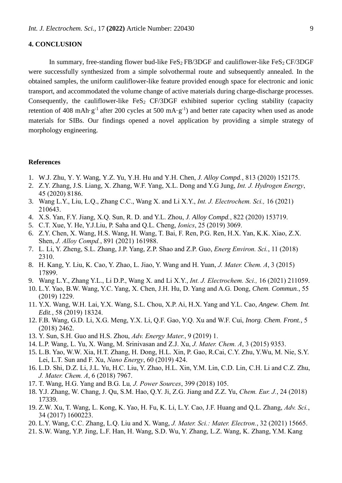## **4. CONCLUSION**

In summary, free-standing flower bud-like  $FeS_2 FB/3DGF$  and cauliflower-like  $FeS_2 CF/3DGF$ were successfully synthesized from a simple solvothermal route and subsequently annealed. In the obtained samples, the uniform cauliflower-like feature provided enough space for electronic and ionic transport, and accommodated the volume change of active materials during charge-discharge processes. Consequently, the cauliflower-like  $FeS<sub>2</sub> CF/3DGF$  exhibited superior cycling stability (capacity retention of 408 mAh·g<sup>-1</sup> after 200 cycles at 500 mA·g<sup>-1</sup>) and better rate capacity when used as anode materials for SIBs. Our findings opened a novel application by providing a simple strategy of morphology engineering.

## **References**

- 1. W.J. Zhu, Y. Y. Wang, Y.Z. Yu, Y.H. Hu and Y.H. Chen, *J. Alloy Compd.*, 813 (2020) 152175.
- 2. Z.Y. Zhang, J.S. Liang, X. Zhang, W.F. Yang, X.L. Dong and Y.G Jung, *Int. J. Hydrogen Energy*, 45 (2020) 8186.
- 3. Wang L.Y., Liu, L.Q., Zhang C.C., Wang X. and Li X.Y., *Int. J. Electrochem. Sci.,* 16 (2021) 210643.
- 4. X.S. Yan, F.Y. Jiang, X.Q. Sun, R. D. and Y.L. Zhou, *J. Alloy Compd.*, 822 (2020) 153719.
- 5. C.T. Xue, Y. He, Y.J.Liu, P. Saha and Q.L. Cheng, *Ionics*, 25 (2019) 3069.
- 6. Z.Y. Chen, X. Wang, H.S. Wang, H. Wang, T. Bai, F. Ren, P.G. Ren, H.X. Yan, K.K. Xiao, Z.X. Shen, *J. Alloy Compd.*, 891 (2021) 161988.
- 7. L. Li, Y. Zheng, S.L. Zhang, J.P. Yang, Z.P. Shao and Z.P. Guo, *Energ Environ. Sci.*, 11 (2018) 2310.
- 8. H. Kang, Y. Liu, K. Cao, Y. Zhao, L. Jiao, Y. Wang and H. Yuan, *J. Mater. Chem. A*, 3 (2015) 17899.
- 9. Wang L.Y., Zhang Y.L., Li D.P., Wang X. and Li X.Y., *Int. J. Electrochem. Sci.,* 16 (2021) 211059.
- 10. L.Y. Yao, B.W. Wang, Y.C. Yang, X. Chen, J.H. Hu, D. Yang and A.G. Dong, *Chem. Commun.*, 55 (2019) 1229.
- 11. Y.X. Wang, W.H. Lai, Y.X. Wang, S.L. Chou, X.P. Ai, H.X. Yang and Y.L. Cao, *Angew. Chem. Int. Edit.*, 58 (2019) 18324.
- 12. F.B. Wang, G.D. Li, X.G. Meng, Y.X. Li, Q.F. Gao, Y.Q. Xu and W.F. Cui, *Inorg. Chem. Front.*, 5 (2018) 2462.
- 13. Y. Sun, S.H. Guo and H.S. Zhou, *Adv. Energy Mater.*, 9 (2019) 1.
- 14. L.P. Wang, L. Yu, X. Wang, M. Srinivasan and Z.J. Xu, *J. Mater. Chem. A*, 3 (2015) 9353.
- 15. L.B. Yao, W.W. Xia, H.T. Zhang, H. Dong, H.L. Xin, P. Gao, R.Cai, C.Y. Zhu, Y.Wu, M. Nie, S.Y. Lei, L.T. Sun and F. Xu, *Nano Energy*, 60 (2019) 424.
- 16. L.D. Shi, D.Z. Li, J.L. Yu, H.C. Liu, Y. Zhao, H.L. Xin, Y.M. Lin, C.D. Lin, C.H. Li and C.Z. Zhu, *J. Mater. Chem. A*, 6 (2018) 7967.
- 17. T. Wang, H.G. Yang and B.G. Lu*, J. Power Sources*, 399 (2018) 105.
- 18. Y.J. Zhang, W. Chang, J. Qu, S.M. Hao, Q.Y. Ji, Z.G. Jiang and Z.Z. Yu, *Chem. Eur. J.*, 24 (2018) 17339.
- 19. Z.W. Xu, T. Wang, L. Kong, K. Yao, H. Fu, K. Li, L.Y. Cao, J.F. Huang and Q.L. Zhang, *Adv. Sci.*, 34 (2017) 1600223.
- 20. L.Y. Wang, C.C. Zhang, L.Q. Liu and X. Wang, *J. Mater. Sci.: Mater. Electron.*, 32 (2021) 15665.
- 21. S.W. Wang, Y.P. Jing, L.F. Han, H. Wang, S.D. Wu, Y. Zhang, L.Z. Wang, K. Zhang, Y.M. Kang